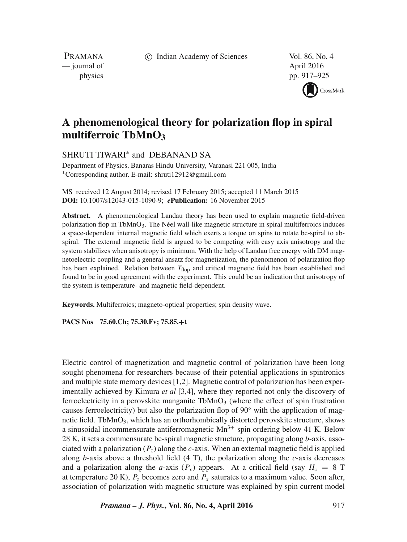c Indian Academy of Sciences Vol. 86, No. 4

PRAMANA — journal of April 2016

physics pp. 917–925



# **A phenomenological theory for polarization flop in spiral multiferroic TbMnO3**

SHRUTI TIWARI<sup>\*</sup> and DEBANAND SA

Department of Physics, Banaras Hindu University, Varanasi 221 005, India ∗Corresponding author. E-mail: shruti12912@gmail.com

MS received 12 August 2014; revised 17 February 2015; accepted 11 March 2015 **DOI:** 10.1007/s12043-015-1090-9; *e***Publication:** 16 November 2015

**Abstract.** A phenomenological Landau theory has been used to explain magnetic field-driven polarization flop in TbMnO3. The Néel wall-like magnetic structure in spiral multiferroics induces a space-dependent internal magnetic field which exerts a torque on spins to rotate bc-spiral to abspiral. The external magnetic field is argued to be competing with easy axis anisotropy and the system stabilizes when anisotropy is minimum. With the help of Landau free energy with DM magnetoelectric coupling and a general ansatz for magnetization, the phenomenon of polarization flop has been explained. Relation between  $T_{\text{floor}}$  and critical magnetic field has been established and found to be in good agreement with the experiment. This could be an indication that anisotropy of the system is temperature- and magnetic field-dependent.

**Keywords.** Multiferroics; magneto-optical properties; spin density wave.

**PACS Nos 75.60.Ch; 75.30.Fv; 75.85.+t**

Electric control of magnetization and magnetic control of polarization have been long sought phenomena for researchers because of their potential applications in spintronics and multiple state memory devices [1,2]. Magnetic control of polarization has been experimentally achieved by Kimura *et al* [3,4], where they reported not only the discovery of ferroelectricity in a perovskite manganite  $TbMnO<sub>3</sub>$  (where the effect of spin frustration causes ferroelectricity) but also the polarization flop of  $90°$  with the application of magnetic field. TbMnO<sub>3</sub>, which has an orthorhombically distorted perovskite structure, shows a sinusoidal incommensurate antiferromagnetic  $Mn^{3+}$  spin ordering below 41 K. Below 28 K, it sets a commensurate bc-spiral magnetic structure, propagating along *b*-axis, associated with a polarization  $(P_z)$  along the *c*-axis. When an external magnetic field is applied along  $b$ -axis above a threshold field  $(4 T)$ , the polarization along the  $c$ -axis decreases and a polarization along the *a*-axis  $(P_x)$  appears. At a critical field (say  $H_c = 8$  T at temperature 20 K),  $P_z$  becomes zero and  $P_x$  saturates to a maximum value. Soon after, association of polarization with magnetic structure was explained by spin current model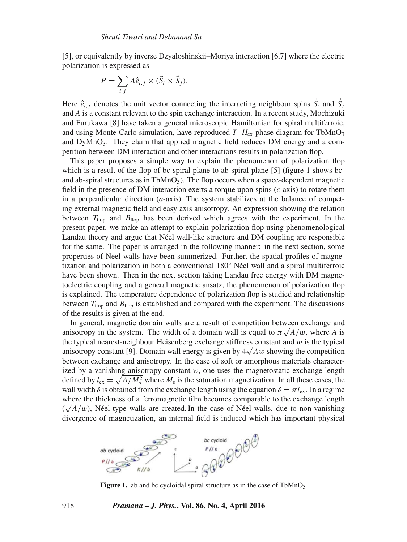[5], or equivalently by inverse Dzyaloshinskii–Moriya interaction [6,7] where the electric polarization is expressed as

$$
P = \sum_{i,j} A \hat{e}_{i,j} \times (\vec{S}_i \times \vec{S}_j).
$$

Here  $\hat{e}_{i,j}$  denotes the unit vector connecting the interacting neighbour spins  $\vec{S}_i$  and  $\vec{S}_j$ and *A* is a constant relevant to the spin exchange interaction. In a recent study, Mochizuki and Furukawa [8] have taken a general microscopic Hamiltonian for spiral multiferroic, and using Monte-Carlo simulation, have reproduced  $T-H_{ex}$  phase diagram for TbMnO<sub>3</sub> and  $DyMnO<sub>3</sub>$ . They claim that applied magnetic field reduces DM energy and a competition between DM interaction and other interactions results in polarization flop.

This paper proposes a simple way to explain the phenomenon of polarization flop which is a result of the flop of bc-spiral plane to ab-spiral plane [5] (figure 1 shows bcand ab-spiral structures as in  $TbMnO<sub>3</sub>$ ). The flop occurs when a space-dependent magnetic field in the presence of DM interaction exerts a torque upon spins (*c*-axis) to rotate them in a perpendicular direction (*a*-axis). The system stabilizes at the balance of competing external magnetic field and easy axis anisotropy. An expression showing the relation between  $T_{\text{flop}}$  and  $B_{\text{flop}}$  has been derived which agrees with the experiment. In the present paper, we make an attempt to explain polarization flop using phenomenological Landau theory and argue that Néel wall-like structure and DM coupling are responsible for the same. The paper is arranged in the following manner: in the next section, some properties of Néel walls have been summerized. Further, the spatial profiles of magnetization and polarization in both a conventional 180◦ Néel wall and a spiral multiferroic have been shown. Then in the next section taking Landau free energy with DM magnetoelectric coupling and a general magnetic ansatz, the phenomenon of polarization flop is explained. The temperature dependence of polarization flop is studied and relationship between  $T_{\text{flop}}$  and  $B_{\text{flop}}$  is established and compared with the experiment. The discussions of the results is given at the end.

In general, magnetic domain walls are a result of competition between exchange and anisotropy in the system. The width of a domain wall is equal to  $\pi \sqrt{A/w}$ , where *A* is the typical nearest-neighbour Heisenberg exchange stiffness constant and  $w$  is the typical anisotropy constant [9]. Domain wall energy is given by  $4\sqrt{Aw}$  showing the competition between exchange and anisotropy. In the case of soft or amorphous materials characterized by a vanishing anisotropy constant *w*, one uses the magnetostatic exchange length defined by  $l_{\text{ex}} = \sqrt{A/M_{\text{s}}^2}$  where  $M_{\text{s}}$  is the saturation magnetization. In all these cases, the wall width  $\delta$  is obtained from the exchange length using the equation  $\delta = \pi l_{ex}$ . In a regime where the thickness of a ferromagnetic film becomes comparable to the exchange length  $(\sqrt{A/w})$ , Néel-type walls are created. In the case of Néel walls, due to non-vanishing



Figure 1. ab and bc cycloidal spiral structure as in the case of TbMnO<sub>3</sub>.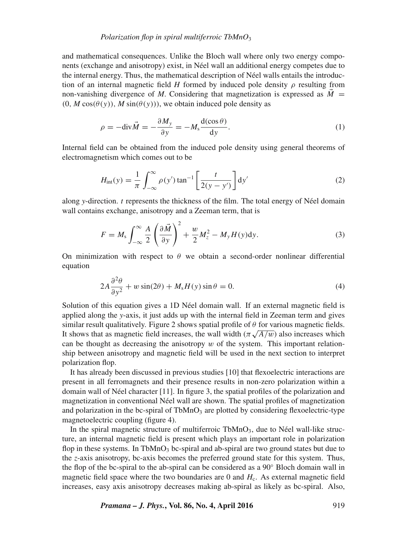#### *Polarization flop in spiral multiferroic TbMnO*<sup>3</sup>

and mathematical consequences. Unlike the Bloch wall where only two energy components (exchange and anisotropy) exist, in Néel wall an additional energy competes due to the internal energy. Thus, the mathematical description of Néel walls entails the introduction of an internal magnetic field *H* formed by induced pole density  $\rho$  resulting from non-vanishing divergence of *M*. Considering that magnetization is expressed as  $\tilde{M}$  =  $(0, M \cos(\theta(y)), M \sin(\theta(y)))$ , we obtain induced pole density as

$$
\rho = -\text{div}\vec{M} = -\frac{\partial M_y}{\partial y} = -M_s \frac{\text{d}(\cos\theta)}{\text{d}y}.
$$
 (1)

Internal field can be obtained from the induced pole density using general theorems of electromagnetism which comes out to be

$$
H_{\rm int}(y) = \frac{1}{\pi} \int_{-\infty}^{\infty} \rho(y') \tan^{-1} \left[ \frac{t}{2(y - y')} \right] dy'
$$
 (2)

along *y*-direction. t represents the thickness of the film. The total energy of Néel domain wall contains exchange, anisotropy and a Zeeman term, that is

$$
F = M_s \int_{-\infty}^{\infty} \frac{A}{2} \left( \frac{\partial \vec{M}}{\partial y} \right)^2 + \frac{w}{2} M_z^2 - M_y H(y) \mathrm{d}y. \tag{3}
$$

On minimization with respect to  $\theta$  we obtain a second-order nonlinear differential equation

$$
2A\frac{\partial^2 \theta}{\partial y^2} + w\sin(2\theta) + M_s H(y)\sin\theta = 0.
$$
 (4)

Solution of this equation gives a 1D Néel domain wall. If an external magnetic field is applied along the *y*-axis, it just adds up with the internal field in Zeeman term and gives similar result qualitatively. Figure 2 shows spatial profile of  $\theta$  for various magnetic fields. It shows that as magnetic field increases, the wall width  $(\pi \sqrt{A/w})$  also increases which can be thought as decreasing the anisotropy  $w$  of the system. This important relationship between anisotropy and magnetic field will be used in the next section to interpret polarization flop.

It has already been discussed in previous studies [10] that flexoelectric interactions are present in all ferromagnets and their presence results in non-zero polarization within a domain wall of Néel character [11]. In figure 3, the spatial profiles of the polarization and magnetization in conventional Néel wall are shown. The spatial profiles of magnetization and polarization in the bc-spiral of  $TbMnO<sub>3</sub>$  are plotted by considering flexoelectric-type magnetoelectric coupling (figure 4).

In the spiral magnetic structure of multiferroic  $TbMnO<sub>3</sub>$ , due to Néel wall-like structure, an internal magnetic field is present which plays an important role in polarization flop in these systems. In TbMnO<sub>3</sub> bc-spiral and ab-spiral are two ground states but due to the *z*-axis anisotropy, bc-axis becomes the preferred ground state for this system. Thus, the flop of the bc-spiral to the ab-spiral can be considered as a 90◦ Bloch domain wall in magnetic field space where the two boundaries are 0 and  $H<sub>c</sub>$ . As external magnetic field increases, easy axis anisotropy decreases making ab-spiral as likely as bc-spiral. Also,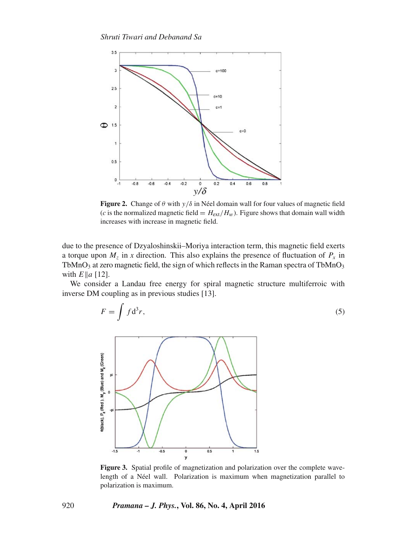

**Figure 2.** Change of  $\theta$  with  $y/\delta$  in Néel domain wall for four values of magnetic field (*c* is the normalized magnetic field =  $H_{ext}/H_w$ ). Figure shows that domain wall width increases with increase in magnetic field.

due to the presence of Dzyaloshinskii–Moriya interaction term, this magnetic field exerts a torque upon  $M_z$  in x direction. This also explains the presence of fluctuation of  $P_x$  in TbMnO<sub>3</sub> at zero magnetic field, the sign of which reflects in the Raman spectra of TbMnO<sub>3</sub> with  $E \| a \| 12$ .

We consider a Landau free energy for spiral magnetic structure multiferroic with inverse DM coupling as in previous studies [13].

$$
F = \int f \mathrm{d}^3 r,\tag{5}
$$



**Figure 3.** Spatial profile of magnetization and polarization over the complete wavelength of a Néel wall. Polarization is maximum when magnetization parallel to polarization is maximum.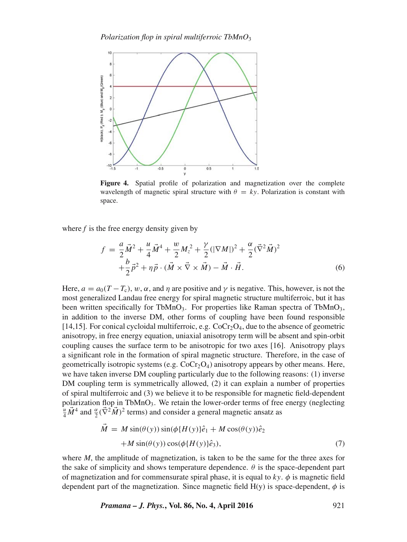

**Figure 4.** Spatial profile of polarization and magnetization over the complete wavelength of magnetic spiral structure with  $\theta = ky$ . Polarization is constant with space.

where *f* is the free energy density given by

$$
f = \frac{a}{2}\vec{M}^2 + \frac{u}{4}\vec{M}^4 + \frac{w}{2}M_z^2 + \frac{\gamma}{2}(|\nabla M|)^2 + \frac{\alpha}{2}(\vec{\nabla}^2\vec{M})^2 + \frac{b}{2}\vec{p}^2 + \eta\vec{p}\cdot(\vec{M}\times\vec{\nabla}\times\vec{M}) - \vec{M}\cdot\vec{H}.
$$
 (6)

Here,  $a = a_0(T - T_c)$ , w,  $\alpha$ , and  $\eta$  are positive and  $\gamma$  is negative. This, however, is not the most generalized Landau free energy for spiral magnetic structure multiferroic, but it has been written specifically for TbMnO<sub>3</sub>. For properties like Raman spectra of TbMnO<sub>3</sub>, in addition to the inverse DM, other forms of coupling have been found responsible [14,15]. For conical cycloidal multiferroic, e.g.  $CoCr_2O_4$ , due to the absence of geometric anisotropy, in free energy equation, uniaxial anisotropy term will be absent and spin-orbit coupling causes the surface term to be anisotropic for two axes [16]. Anisotropy plays a significant role in the formation of spiral magnetic structure. Therefore, in the case of geometrically isotropic systems (e.g.  $CoCr<sub>2</sub>O<sub>4</sub>$ ) anisotropy appears by other means. Here, we have taken inverse DM coupling particularly due to the following reasons: (1) inverse DM coupling term is symmetrically allowed, (2) it can explain a number of properties of spiral multiferroic and (3) we believe it to be responsible for magnetic field-dependent polarization flop in TbMnO<sub>3</sub>. We retain the lower-order terms of free energy (neglecting  $\frac{u}{4}\vec{M}^4$  and  $\frac{\alpha}{2}(\vec{\nabla}^2\vec{M})^2$  terms) and consider a general magnetic ansatz as

$$
\dot{M} = M \sin(\theta(y)) \sin(\phi \{H(y)\}\hat{e}_1 + M \cos(\theta(y))\hat{e}_2 \n+ M \sin(\theta(y)) \cos(\phi \{H(y)\}\hat{e}_3),
$$
\n(7)

where *M*, the amplitude of magnetization, is taken to be the same for the three axes for the sake of simplicity and shows temperature dependence.  $\theta$  is the space-dependent part of magnetization and for commensurate spiral phase, it is equal to  $ky$ .  $\phi$  is magnetic field dependent part of the magnetization. Since magnetic field  $H(y)$  is space-dependent,  $\phi$  is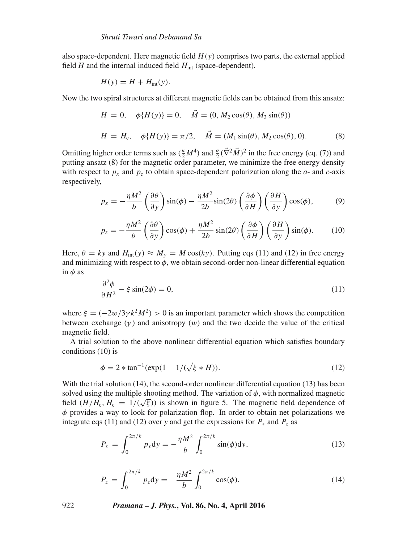also space-dependent. Here magnetic field  $H(y)$  comprises two parts, the external applied field  $H$  and the internal induced field  $H<sub>int</sub>$  (space-dependent).

$$
H(y) = H + H_{\text{int}}(y).
$$

Now the two spiral structures at different magnetic fields can be obtained from this ansatz:

$$
H = 0, \quad \phi\{H(y)\} = 0, \quad \tilde{M} = (0, M_2 \cos(\theta), M_3 \sin(\theta))
$$
  

$$
H = H_c, \quad \phi\{H(y)\} = \pi/2, \quad \tilde{M} = (M_1 \sin(\theta), M_2 \cos(\theta), 0).
$$
 (8)

Omitting higher order terms such as  $(\frac{u}{2}M^4)$  and  $\frac{\alpha}{2}(\overline{\nabla}^2 \vec{M})^2$  in the free energy (eq. (7)) and putting ansatz (8) for the magnetic order parameter, we minimize the free energy density with respect to  $p_x$  and  $p_z$  to obtain space-dependent polarization along the  $a$ - and  $c$ -axis respectively,

$$
p_x = -\frac{\eta M^2}{b} \left(\frac{\partial \theta}{\partial y}\right) \sin(\phi) - \frac{\eta M^2}{2b} \sin(2\theta) \left(\frac{\partial \phi}{\partial H}\right) \left(\frac{\partial H}{\partial y}\right) \cos(\phi),\tag{9}
$$

$$
p_z = -\frac{\eta M^2}{b} \left(\frac{\partial \theta}{\partial y}\right) \cos(\phi) + \frac{\eta M^2}{2b} \sin(2\theta) \left(\frac{\partial \phi}{\partial H}\right) \left(\frac{\partial H}{\partial y}\right) \sin(\phi). \tag{10}
$$

Here,  $\theta = ky$  and  $H<sub>int</sub>(y) \approx M_y = M \cos(ky)$ . Putting eqs (11) and (12) in free energy and minimizing with respect to  $\phi$ , we obtain second-order non-linear differential equation in  $\phi$  as

$$
\frac{\partial^2 \phi}{\partial H^2} - \xi \sin(2\phi) = 0,\tag{11}
$$

where  $\xi = (-2w/3\gamma k^2M^2) > 0$  is an important parameter which shows the competition between exchange  $(y)$  and anisotropy  $(w)$  and the two decide the value of the critical magnetic field.

A trial solution to the above nonlinear differential equation which satisfies boundary conditions (10) is

$$
\phi = 2 * \tan^{-1}(\exp(1 - 1/(\sqrt{\xi} * H))).
$$
\n(12)

With the trial solution (14), the second-order nonlinear differential equation (13) has been solved using the multiple shooting method. The variation of  $\phi$ , with normalized magnetic field  $(H/H_c, H_c = 1/(\sqrt{\xi}))$  is shown in figure 5. The magnetic field dependence of  $\phi$  provides a way to look for polarization flop. In order to obtain net polarizations we integrate eqs (11) and (12) over *y* and get the expressions for  $P_x$  and  $P_z$  as

$$
P_x = \int_0^{2\pi/k} p_x \, dy = -\frac{\eta M^2}{b} \int_0^{2\pi/k} \sin(\phi) \, dy,\tag{13}
$$

$$
P_z = \int_0^{2\pi/k} p_z \, dy = -\frac{\eta M^2}{b} \int_0^{2\pi/k} \cos(\phi). \tag{14}
$$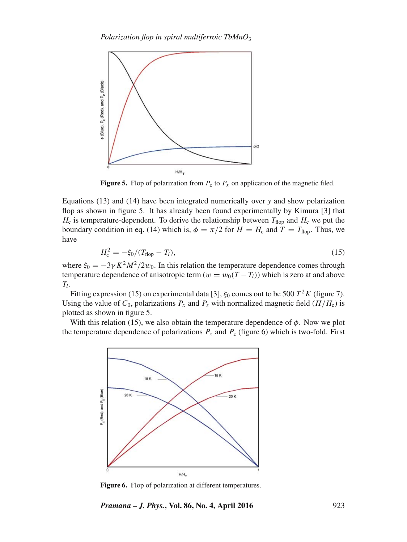

**Figure 5.** Flop of polarization from  $P_z$  to  $P_x$  on application of the magnetic filed.

Equations (13) and (14) have been integrated numerically over *y* and show polarization flop as shown in figure 5. It has already been found experimentally by Kimura [3] that  $H_c$  is temperature-dependent. To derive the relationship between  $T_{\text{flop}}$  and  $H_c$  we put the boundary condition in eq. (14) which is,  $\phi = \pi/2$  for  $H = H_c$  and  $T = T_{\text{flop}}$ . Thus, we have

$$
H_{\rm c}^2 = -\xi_0 / (T_{\rm hop} - T_l),\tag{15}
$$

where  $\xi_0 = -3\gamma K^2 M^2/2w_0$ . In this relation the temperature dependence comes through temperature dependence of anisotropic term  $(w = w_0(T - T_l))$  which is zero at and above  $T_l$ .

Fitting expression (15) on experimental data [3],  $\xi_0$  comes out to be 500  $T^2K$  (figure 7). Using the value of  $C_0$ , polarizations  $P_x$  and  $P_z$  with normalized magnetic field ( $H/H_c$ ) is plotted as shown in figure 5.

With this relation (15), we also obtain the temperature dependence of  $\phi$ . Now we plot the temperature dependence of polarizations  $P_x$  and  $P_z$  (figure 6) which is two-fold. First



**Figure 6.** Flop of polarization at different temperatures.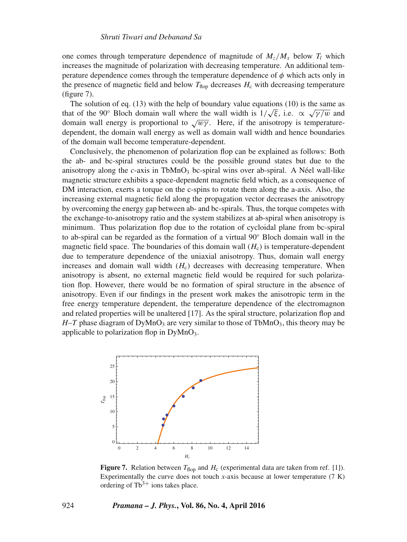one comes through temperature dependence of magnitude of  $M_z/M_x$  below  $T_l$  which increases the magnitude of polarization with decreasing temperature. An additional temperature dependence comes through the temperature dependence of  $\phi$  which acts only in the presence of magnetic field and below  $T_{\text{flop}}$  decreases  $H_c$  with decreasing temperature (figure 7).

The solution of eq. (13) with the help of boundary value equations (10) is the same as that of the 90° Bloch domain wall where the wall width is  $1/\sqrt{\xi}$ , i.e.  $\propto \sqrt{\gamma/w}$  and domain wall energy is proportional to  $\sqrt{w\gamma}$ . Here, if the anisotropy is temperaturedependent, the domain wall energy as well as domain wall width and hence boundaries of the domain wall become temperature-dependent.

Conclusively, the phenomenon of polarization flop can be explained as follows: Both the ab- and bc-spiral structures could be the possible ground states but due to the anisotropy along the  $c$ -axis in TbMnO<sub>3</sub> bc-spiral wins over ab-spiral. A Néel wall-like magnetic structure exhibits a space-dependent magnetic field which, as a consequence of DM interaction, exerts a torque on the c-spins to rotate them along the a-axis. Also, the increasing external magnetic field along the propagation vector decreases the anisotropy by overcoming the energy gap between ab- and bc-spirals. Thus, the torque competes with the exchange-to-anisotropy ratio and the system stabilizes at ab-spiral when anisotropy is minimum. Thus polarization flop due to the rotation of cycloidal plane from bc-spiral to ab-spiral can be regarded as the formation of a virtual 90◦ Bloch domain wall in the magnetic field space. The boundaries of this domain wall  $(H_c)$  is temperature-dependent due to temperature dependence of the uniaxial anisotropy. Thus, domain wall energy increases and domain wall width  $(H<sub>c</sub>)$  decreases with decreasing temperature. When anisotropy is absent, no external magnetic field would be required for such polarization flop. However, there would be no formation of spiral structure in the absence of anisotropy. Even if our findings in the present work makes the anisotropic term in the free energy temperature dependent, the temperature dependence of the electromagnon and related properties will be unaltered [17]. As the spiral structure, polarization flop and  $H - T$  phase diagram of DyMnO<sub>3</sub> are very similar to those of TbMnO<sub>3</sub>, this theory may be applicable to polarization flop in  $DyMnO_3$ .



**Figure 7.** Relation between  $T_{\text{flop}}$  and  $H_c$  (experimental data are taken from ref. [1]). Experimentally the curve does not touch  $x$ -axis because at lower temperature  $(7 K)$ ordering of  $Tb^{3+}$  ions takes place.